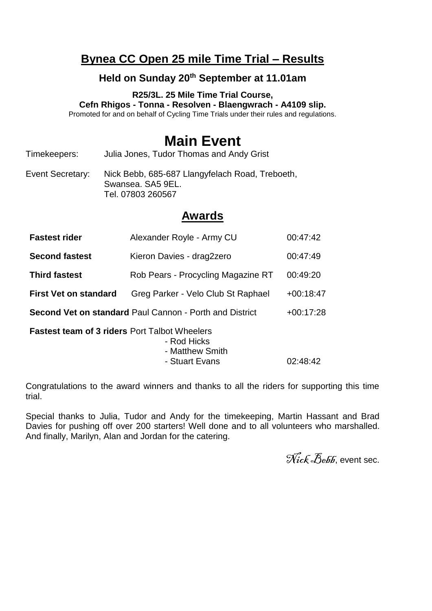## **Bynea CC Open 25 mile Time Trial – Results**

## **Held on Sunday 20th September at 11.01am**

**R25/3L. 25 Mile Time Trial Course, Cefn Rhigos - Tonna - Resolven - Blaengwrach - A4109 slip.** Promoted for and on behalf of Cycling Time Trials under their rules and regulations.

## **Main Event**

Timekeepers: Julia Jones, Tudor Thomas and Andy Grist

Event Secretary: Nick Bebb, 685-687 Llangyfelach Road, Treboeth, Swansea. SA5 9EL. Tel. 07803 260567

## **Awards**

| <b>Fastest rider</b>                                                                                                 | Alexander Royle - Army CU          | 00:47:42    |  |  |  |  |  |  |
|----------------------------------------------------------------------------------------------------------------------|------------------------------------|-------------|--|--|--|--|--|--|
| <b>Second fastest</b>                                                                                                | Kieron Davies - drag2zero          | 00:47:49    |  |  |  |  |  |  |
| <b>Third fastest</b>                                                                                                 | Rob Pears - Procycling Magazine RT | 00:49:20    |  |  |  |  |  |  |
| <b>First Vet on standard</b>                                                                                         | Greg Parker - Velo Club St Raphael | $+00:18:47$ |  |  |  |  |  |  |
| <b>Second Vet on standard Paul Cannon - Porth and District</b><br>$+00:17:28$                                        |                                    |             |  |  |  |  |  |  |
| <b>Fastest team of 3 riders Port Talbot Wheelers</b><br>- Rod Hicks<br>- Matthew Smith<br>- Stuart Evans<br>02:48:42 |                                    |             |  |  |  |  |  |  |

Congratulations to the award winners and thanks to all the riders for supporting this time trial.

Special thanks to Julia, Tudor and Andy for the timekeeping, Martin Hassant and Brad Davies for pushing off over 200 starters! Well done and to all volunteers who marshalled. And finally, Marilyn, Alan and Jordan for the catering.

Nick Bebb, event sec.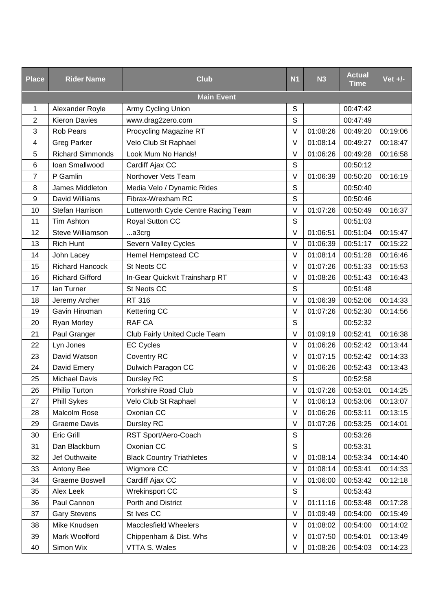| <b>Place</b>   | <b>Rider Name</b>       | <b>Club</b>                          | <b>N1</b>    | N3       | <b>Actual</b><br><b>Time</b> | Vet $+/-$ |
|----------------|-------------------------|--------------------------------------|--------------|----------|------------------------------|-----------|
|                |                         | <b>Main Event</b>                    |              |          |                              |           |
| 1              | Alexander Royle         | Army Cycling Union                   | S            |          | 00:47:42                     |           |
| $\overline{2}$ | <b>Kieron Davies</b>    | www.drag2zero.com                    | S            |          | 00:47:49                     |           |
| 3              | <b>Rob Pears</b>        | Procycling Magazine RT               | $\vee$       | 01:08:26 | 00:49:20                     | 00:19:06  |
| 4              | <b>Greg Parker</b>      | Velo Club St Raphael                 | $\vee$       | 01:08:14 | 00:49:27                     | 00:18:47  |
| 5              | <b>Richard Simmonds</b> | Look Mum No Hands!                   | V            | 01:06:26 | 00:49:28                     | 00:16:58  |
| 6              | Ioan Smallwood          | Cardiff Ajax CC                      | S            |          | 00:50:12                     |           |
| $\overline{7}$ | P Gamlin                | Northover Vets Team                  | $\vee$       | 01:06:39 | 00:50:20                     | 00:16:19  |
| 8              | James Middleton         | Media Velo / Dynamic Rides           | $\mathsf S$  |          | 00:50:40                     |           |
| 9              | David Williams          | Fibrax-Wrexham RC                    | $\mathsf{S}$ |          | 00:50:46                     |           |
| 10             | Stefan Harrison         | Lutterworth Cycle Centre Racing Team | $\vee$       | 01:07:26 | 00:50:49                     | 00:16:37  |
| 11             | Tim Ashton              | Royal Sutton CC                      | S            |          | 00:51:03                     |           |
| 12             | Steve Williamson        | a3crg                                | $\vee$       | 01:06:51 | 00:51:04                     | 00:15:47  |
| 13             | <b>Rich Hunt</b>        | Severn Valley Cycles                 | $\vee$       | 01:06:39 | 00:51:17                     | 00:15:22  |
| 14             | John Lacey              | Hemel Hempstead CC                   | V            | 01:08:14 | 00:51:28                     | 00:16:46  |
| 15             | <b>Richard Hancock</b>  | St Neots CC                          | V            | 01:07:26 | 00:51:33                     | 00:15:53  |
| 16             | <b>Richard Gifford</b>  | In-Gear Quickvit Trainsharp RT       | $\vee$       | 01:08:26 | 00:51:43                     | 00:16:43  |
| 17             | lan Turner              | St Neots CC                          | S            |          | 00:51:48                     |           |
| 18             | Jeremy Archer           | RT 316                               | $\vee$       | 01:06:39 | 00:52:06                     | 00:14:33  |
| 19             | Gavin Hinxman           | Kettering CC                         | $\vee$       | 01:07:26 | 00:52:30                     | 00:14:56  |
| 20             | Ryan Morley             | <b>RAF CA</b>                        | $\mathbb S$  |          | 00:52:32                     |           |
| 21             | Paul Granger            | Club Fairly United Cucle Team        | $\vee$       | 01:09:19 | 00:52:41                     | 00:16:38  |
| 22             | Lyn Jones               | <b>EC Cycles</b>                     | V            | 01:06:26 | 00:52:42                     | 00:13:44  |
| 23             | David Watson            | Coventry RC                          | $\vee$       | 01:07:15 | 00:52:42                     | 00:14:33  |
| 24             | David Emery             | Dulwich Paragon CC                   | $\vee$       | 01:06:26 | 00:52:43                     | 00:13:43  |
| 25             | <b>Michael Davis</b>    | Dursley RC                           | $\mathsf S$  |          | 00:52:58                     |           |
| 26             | <b>Philip Turton</b>    | Yorkshire Road Club                  | V            | 01:07:26 | 00:53:01                     | 00:14:25  |
| 27             | <b>Phill Sykes</b>      | Velo Club St Raphael                 | V            | 01:06:13 | 00:53:06                     | 00:13:07  |
| 28             | Malcolm Rose            | Oxonian CC                           | $\vee$       | 01:06:26 | 00:53:11                     | 00:13:15  |
| 29             | <b>Graeme Davis</b>     | Dursley RC                           | $\vee$       | 01:07:26 | 00:53:25                     | 00:14:01  |
| 30             | Eric Grill              | RST Sport/Aero-Coach                 | $\mathbf S$  |          | 00:53:26                     |           |
| 31             | Dan Blackburn           | Oxonian CC                           | $\mathsf{S}$ |          | 00:53:31                     |           |
| 32             | Jef Outhwaite           | <b>Black Country Triathletes</b>     | $\vee$       | 01:08:14 | 00:53:34                     | 00:14:40  |
| 33             | Antony Bee              | Wigmore CC                           | $\vee$       | 01:08:14 | 00:53:41                     | 00:14:33  |
| 34             | Graeme Boswell          | Cardiff Ajax CC                      | V            | 01:06:00 | 00:53:42                     | 00:12:18  |
| 35             | Alex Leek               | Wrekinsport CC                       | S            |          | 00:53:43                     |           |
| 36             | Paul Cannon             | Porth and District                   | $\vee$       | 01:11:16 | 00:53:48                     | 00:17:28  |
| 37             | <b>Gary Stevens</b>     | St Ives CC                           | V            | 01:09:49 | 00:54:00                     | 00:15:49  |
| 38             | Mike Knudsen            | <b>Macclesfield Wheelers</b>         | $\vee$       | 01:08:02 | 00:54:00                     | 00:14:02  |
| 39             | Mark Woolford           | Chippenham & Dist. Whs               | V            | 01:07:50 | 00:54:01                     | 00:13:49  |
| 40             | Simon Wix               | VTTA S. Wales                        | V            | 01:08:26 | 00:54:03                     | 00:14:23  |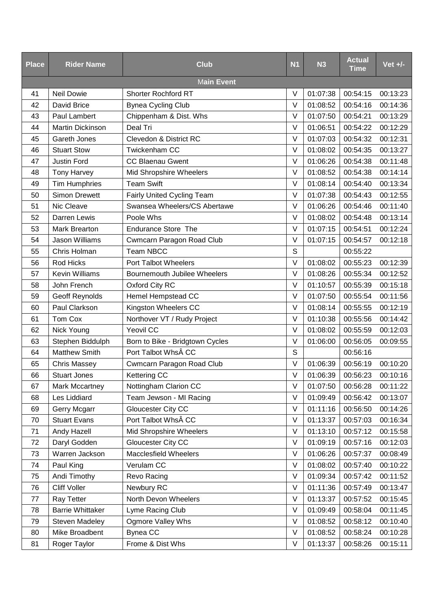| <b>Place</b> | <b>Rider Name</b>       | <b>Club</b>                         | <b>N1</b> | <b>N3</b> | <b>Actual</b><br><b>Time</b> | Vet $+/-$ |
|--------------|-------------------------|-------------------------------------|-----------|-----------|------------------------------|-----------|
|              |                         | <b>Main Event</b>                   |           |           |                              |           |
| 41           | <b>Neil Dowie</b>       | <b>Shorter Rochford RT</b>          | V         | 01:07:38  | 00:54:15                     | 00:13:23  |
| 42           | David Brice             | <b>Bynea Cycling Club</b>           | V         | 01:08:52  | 00:54:16                     | 00:14:36  |
| 43           | Paul Lambert            | Chippenham & Dist. Whs              | V         | 01:07:50  | 00:54:21                     | 00:13:29  |
| 44           | Martin Dickinson        | Deal Tri                            | $\vee$    | 01:06:51  | 00:54:22                     | 00:12:29  |
| 45           | Gareth Jones            | Clevedon & District RC              | $\vee$    | 01:07:03  | 00:54:32                     | 00:12:31  |
| 46           | <b>Stuart Stow</b>      | Twickenham CC                       | V         | 01:08:02  | 00:54:35                     | 00:13:27  |
| 47           | <b>Justin Ford</b>      | <b>CC Blaenau Gwent</b>             | $\vee$    | 01:06:26  | 00:54:38                     | 00:11:48  |
| 48           | <b>Tony Harvey</b>      | Mid Shropshire Wheelers             | $\vee$    | 01:08:52  | 00:54:38                     | 00:14:14  |
| 49           | <b>Tim Humphries</b>    | <b>Team Swift</b>                   | V         | 01:08:14  | 00:54:40                     | 00:13:34  |
| 50           | <b>Simon Drewett</b>    | Fairly United Cycling Team          | $\vee$    | 01:07:38  | 00:54:43                     | 00:12:55  |
| 51           | Nic Cleave              | Swansea Wheelers/CS Abertawe        | $\vee$    | 01:06:26  | 00:54:46                     | 00:11:40  |
| 52           | Darren Lewis            | Poole Whs                           | $\vee$    | 01:08:02  | 00:54:48                     | 00:13:14  |
| 53           | <b>Mark Brearton</b>    | <b>Endurance Store The</b>          | $\vee$    | 01:07:15  | 00:54:51                     | 00:12:24  |
| 54           | Jason Williams          | Cwmcarn Paragon Road Club           | V         | 01:07:15  | 00:54:57                     | 00:12:18  |
| 55           | Chris Holman            | Team NBCC                           | S         |           | 00:55:22                     |           |
| 56           | Rod Hicks               | Port Talbot Wheelers                | $\vee$    | 01:08:02  | 00:55:23                     | 00:12:39  |
| 57           | Kevin Williams          | <b>Bournemouth Jubilee Wheelers</b> | $\vee$    | 01:08:26  | 00:55:34                     | 00:12:52  |
| 58           | John French             | Oxford City RC                      | V         | 01:10:57  | 00:55:39                     | 00:15:18  |
| 59           | Geoff Reynolds          | Hemel Hempstead CC                  | V         | 01:07:50  | 00:55:54                     | 00:11:56  |
| 60           | Paul Clarkson           | Kingston Wheelers CC                | $\vee$    | 01:08:14  | 00:55:55                     | 00:12:19  |
| 61           | Tom Cox                 | Northover VT / Rudy Project         | V         | 01:10:38  | 00:55:56                     | 00:14:42  |
| 62           | Nick Young              | Yeovil CC                           | $\vee$    | 01:08:02  | 00:55:59                     | 00:12:03  |
| 63           | Stephen Biddulph        | Born to Bike - Bridgtown Cycles     | $\vee$    | 01:06:00  | 00:56:05                     | 00:09:55  |
| 64           | <b>Matthew Smith</b>    | Port Talbot Whs CC                  | S         |           | 00:56:16                     |           |
| 65           | <b>Chris Massey</b>     | Cwmcarn Paragon Road Club           | $\vee$    | 01:06:39  | 00:56:19                     | 00:10:20  |
| 66           | <b>Stuart Jones</b>     | Kettering CC                        | V         | 01:06:39  | 00:56:23                     | 00:10:16  |
| 67           | Mark Mccartney          | Nottingham Clarion CC               | V         | 01:07:50  | 00:56:28                     | 00:11:22  |
| 68           | Les Liddiard            | Team Jewson - MI Racing             | $\vee$    | 01:09:49  | 00:56:42                     | 00:13:07  |
| 69           | Gerry Mcgarr            | Gloucester City CC                  | V         | 01:11:16  | 00:56:50                     | 00:14:26  |
| 70           | <b>Stuart Evans</b>     | Port Talbot Whs CC                  | $\vee$    | 01:13:37  | 00:57:03                     | 00:16:34  |
| 71           | Andy Hazell             | Mid Shropshire Wheelers             | V         | 01:13:10  | 00:57:12                     | 00:15:58  |
| 72           | Daryl Godden            | Gloucester City CC                  | $\vee$    | 01:09:19  | 00:57:16                     | 00:12:03  |
| 73           | Warren Jackson          | <b>Macclesfield Wheelers</b>        | V         | 01:06:26  | 00:57:37                     | 00:08:49  |
| 74           | Paul King               | Verulam CC                          | $\vee$    | 01:08:02  | 00:57:40                     | 00:10:22  |
| 75           | Andi Timothy            | Revo Racing                         | $\vee$    | 01:09:34  | 00:57:42                     | 00:11:52  |
| 76           | <b>Cliff Voller</b>     | Newbury RC                          | V         | 01:11:36  | 00:57:49                     | 00:13:47  |
| 77           | Ray Tetter              | North Devon Wheelers                | $\vee$    | 01:13:37  | 00:57:52                     | 00:15:45  |
| 78           | <b>Barrie Whittaker</b> | Lyme Racing Club                    | V         | 01:09:49  | 00:58:04                     | 00:11:45  |
| 79           | Steven Madeley          | <b>Ogmore Valley Whs</b>            | $\vee$    | 01:08:52  | 00:58:12                     | 00:10:40  |
| 80           | Mike Broadbent          | <b>Bynea CC</b>                     | $\vee$    | 01:08:52  | 00:58:24                     | 00:10:28  |
| 81           | Roger Taylor            | Frome & Dist Whs                    | V         | 01:13:37  | 00:58:26                     | 00:15:11  |